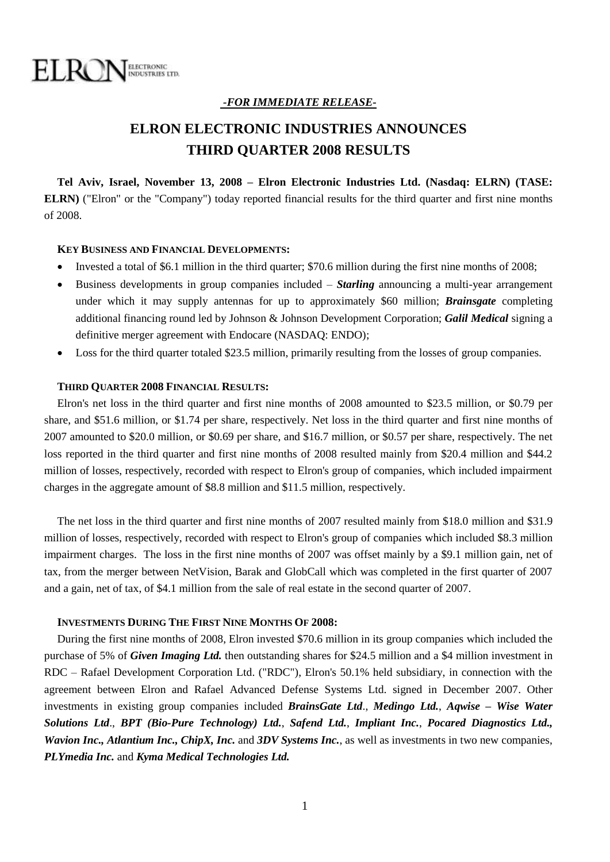

#### *-FOR IMMEDIATE RELEASE-*

# **ELRON ELECTRONIC INDUSTRIES ANNOUNCES THIRD QUARTER 2008 RESULTS**

**Tel Aviv, Israel, November 13, 2008 – Elron Electronic Industries Ltd. (Nasdaq: ELRN) (TASE: ELRN)** ("Elron" or the "Company") today reported financial results for the third quarter and first nine months of 2008.

#### **KEY BUSINESS AND FINANCIAL DEVELOPMENTS:**

- Invested a total of \$6.1 million in the third quarter; \$70.6 million during the first nine months of 2008;
- Business developments in group companies included *Starling* announcing a multi-year arrangement under which it may supply antennas for up to approximately \$60 million; *Brainsgate* completing additional financing round led by Johnson & Johnson Development Corporation; *Galil Medical* signing a definitive merger agreement with Endocare (NASDAQ: ENDO);
- Loss for the third quarter totaled \$23.5 million, primarily resulting from the losses of group companies.

#### **THIRD QUARTER 2008 FINANCIAL RESULTS:**

Elron's net loss in the third quarter and first nine months of 2008 amounted to \$23.5 million, or \$0.79 per share, and \$51.6 million, or \$1.74 per share, respectively. Net loss in the third quarter and first nine months of 2007 amounted to \$20.0 million, or \$0.69 per share, and \$16.7 million, or \$0.57 per share, respectively. The net loss reported in the third quarter and first nine months of 2008 resulted mainly from \$20.4 million and \$44.2 million of losses, respectively, recorded with respect to Elron's group of companies, which included impairment charges in the aggregate amount of \$8.8 million and \$11.5 million, respectively.

The net loss in the third quarter and first nine months of 2007 resulted mainly from \$18.0 million and \$31.9 million of losses, respectively, recorded with respect to Elron's group of companies which included \$8.3 million impairment charges. The loss in the first nine months of 2007 was offset mainly by a \$9.1 million gain, net of tax, from the merger between NetVision, Barak and GlobCall which was completed in the first quarter of 2007 and a gain, net of tax, of \$4.1 million from the sale of real estate in the second quarter of 2007.

#### **INVESTMENTS DURING THE FIRST NINE MONTHS OF 2008:**

During the first nine months of 2008, Elron invested \$70.6 million in its group companies which included the purchase of 5% of *Given Imaging Ltd.* then outstanding shares for \$24.5 million and a \$4 million investment in RDC – Rafael Development Corporation Ltd. ("RDC"), Elron's 50.1% held subsidiary, in connection with the agreement between Elron and Rafael Advanced Defense Systems Ltd. signed in December 2007. Other investments in existing group companies included *BrainsGate Ltd*., *Medingo Ltd.*, *Aqwise – Wise Water Solutions Ltd*., *BPT (Bio-Pure Technology) Ltd.*, *Safend Ltd.*, *Impliant Inc.*, *Pocared Diagnostics Ltd., Wavion Inc., Atlantium Inc., ChipX, Inc.* and *3DV Systems Inc.*, as well as investments in two new companies, *PLYmedia Inc.* and *Kyma Medical Technologies Ltd.*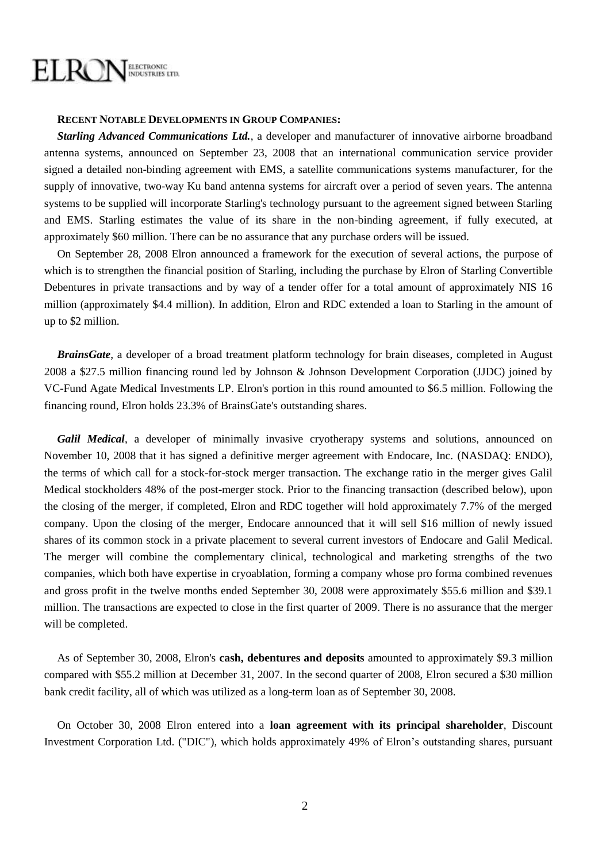### ELROI ELECTRONIC<br>INDUSTRIES LTD.

#### **RECENT NOTABLE DEVELOPMENTS IN GROUP COMPANIES:**

*Starling Advanced Communications Ltd.*, a developer and manufacturer of innovative airborne broadband antenna systems, announced on September 23, 2008 that an international communication service provider signed a detailed non-binding agreement with EMS, a satellite communications systems manufacturer, for the supply of innovative, two-way Ku band antenna systems for aircraft over a period of seven years. The antenna systems to be supplied will incorporate Starling's technology pursuant to the agreement signed between Starling and EMS. Starling estimates the value of its share in the non-binding agreement, if fully executed, at approximately \$60 million. There can be no assurance that any purchase orders will be issued.

On September 28, 2008 Elron announced a framework for the execution of several actions, the purpose of which is to strengthen the financial position of Starling, including the purchase by Elron of Starling Convertible Debentures in private transactions and by way of a tender offer for a total amount of approximately NIS 16 million (approximately \$4.4 million). In addition, Elron and RDC extended a loan to Starling in the amount of up to \$2 million.

*BrainsGate*, a developer of a broad treatment platform technology for brain diseases, completed in August 2008 a \$27.5 million financing round led by Johnson & Johnson Development Corporation (JJDC) joined by VC-Fund Agate Medical Investments LP. Elron's portion in this round amounted to \$6.5 million. Following the financing round, Elron holds 23.3% of BrainsGate's outstanding shares.

*Galil Medical*, a developer of minimally invasive cryotherapy systems and solutions, announced on November 10, 2008 that it has signed a definitive merger agreement with Endocare, Inc. (NASDAQ: ENDO), the terms of which call for a stock-for-stock merger transaction. The exchange ratio in the merger gives Galil Medical stockholders 48% of the post-merger stock. Prior to the financing transaction (described below), upon the closing of the merger, if completed, Elron and RDC together will hold approximately 7.7% of the merged company. Upon the closing of the merger, Endocare announced that it will sell \$16 million of newly issued shares of its common stock in a private placement to several current investors of Endocare and Galil Medical. The merger will combine the complementary clinical, technological and marketing strengths of the two companies, which both have expertise in cryoablation, forming a company whose pro forma combined revenues and gross profit in the twelve months ended September 30, 2008 were approximately \$55.6 million and \$39.1 million. The transactions are expected to close in the first quarter of 2009. There is no assurance that the merger will be completed.

As of September 30, 2008, Elron's **cash, debentures and deposits** amounted to approximately \$9.3 million compared with \$55.2 million at December 31, 2007. In the second quarter of 2008, Elron secured a \$30 million bank credit facility, all of which was utilized as a long-term loan as of September 30, 2008.

On October 30, 2008 Elron entered into a **loan agreement with its principal shareholder**, Discount Investment Corporation Ltd. ("DIC"), which holds approximately 49% of Elron's outstanding shares, pursuant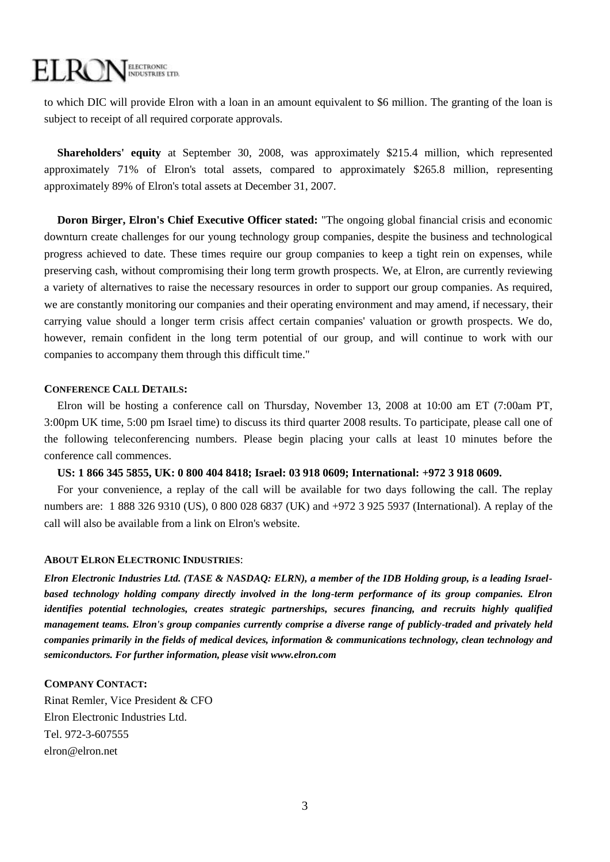## EL RC ELECTRONIC<br>INDUSTRIES LTD.

to which DIC will provide Elron with a loan in an amount equivalent to \$6 million. The granting of the loan is subject to receipt of all required corporate approvals.

**Shareholders' equity** at September 30, 2008, was approximately \$215.4 million, which represented approximately 71% of Elron's total assets, compared to approximately \$265.8 million, representing approximately 89% of Elron's total assets at December 31, 2007.

**Doron Birger, Elron's Chief Executive Officer stated:** "The ongoing global financial crisis and economic downturn create challenges for our young technology group companies, despite the business and technological progress achieved to date. These times require our group companies to keep a tight rein on expenses, while preserving cash, without compromising their long term growth prospects. We, at Elron, are currently reviewing a variety of alternatives to raise the necessary resources in order to support our group companies. As required, we are constantly monitoring our companies and their operating environment and may amend, if necessary, their carrying value should a longer term crisis affect certain companies' valuation or growth prospects. We do, however, remain confident in the long term potential of our group, and will continue to work with our companies to accompany them through this difficult time."

#### **CONFERENCE CALL DETAILS:**

Elron will be hosting a conference call on Thursday, November 13, 2008 at 10:00 am ET (7:00am PT, 3:00pm UK time, 5:00 pm Israel time) to discuss its third quarter 2008 results. To participate, please call one of the following teleconferencing numbers. Please begin placing your calls at least 10 minutes before the conference call commences.

#### **US: 1 866 345 5855, UK: 0 800 404 8418; Israel: 03 918 0609; International: +972 3 918 0609.**

For your convenience, a replay of the call will be available for two days following the call. The replay numbers are: 1 888 326 9310 (US), 0 800 028 6837 (UK) and +972 3 925 5937 (International). A replay of the call will also be available from a link on Elron's website.

#### **ABOUT ELRON ELECTRONIC INDUSTRIES**:

*Elron Electronic Industries Ltd. (TASE & NASDAQ: ELRN), a member of the IDB Holding group, is a leading Israelbased technology holding company directly involved in the long-term performance of its group companies. Elron identifies potential technologies, creates strategic partnerships, secures financing, and recruits highly qualified management teams. Elron's group companies currently comprise a diverse range of publicly-traded and privately held companies primarily in the fields of medical devices, information & communications technology, clean technology and semiconductors. For further information, please visit [www.elron.com](http://www.elron.com/)*

#### **COMPANY CONTACT:**

Rinat Remler, Vice President & CFO Elron Electronic Industries Ltd. Tel. 972-3-607555 elron@elron.net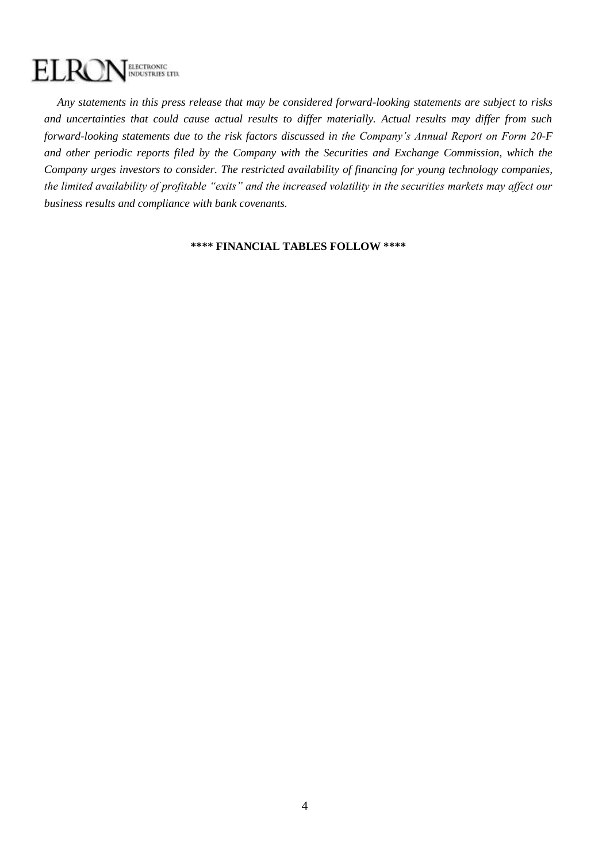## ELECTRONIC<br>INDUSTRIES LTD. ELR

*Any statements in this press release that may be considered forward-looking statements are subject to risks and uncertainties that could cause actual results to differ materially. Actual results may differ from such forward-looking statements due to the risk factors discussed in the Company's Annual Report on Form 20-F and other periodic reports filed by the Company with the Securities and Exchange Commission, which the Company urges investors to consider. The restricted availability of financing for young technology companies, the limited availability of profitable "exits" and the increased volatility in the securities markets may affect our business results and compliance with bank covenants.* 

#### **\*\*\*\* FINANCIAL TABLES FOLLOW \*\*\*\***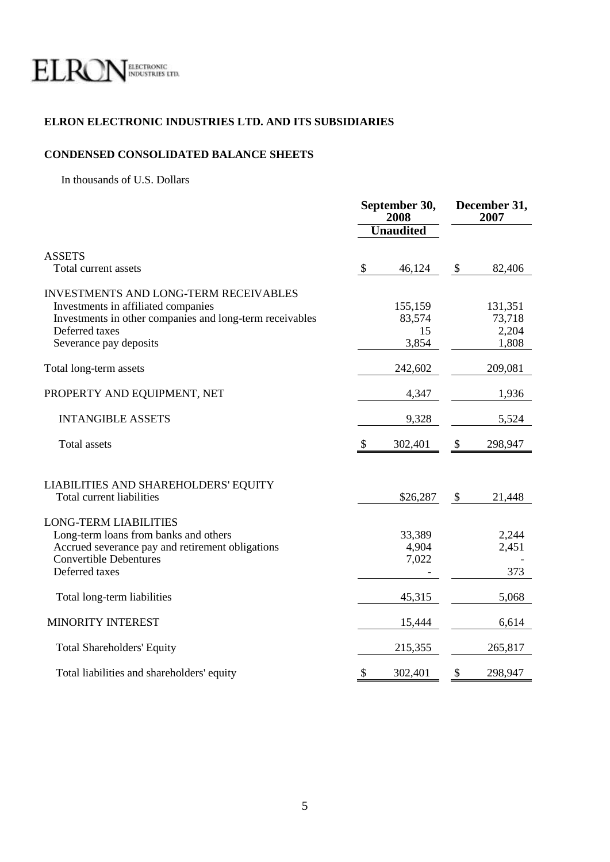

### **ELRON ELECTRONIC INDUSTRIES LTD. AND ITS SUBSIDIARIES**

### **CONDENSED CONSOLIDATED BALANCE SHEETS**

In thousands of U.S. Dollars

|                                                                                                                                                                                             | September 30,<br>2008     |                                  | December 31,<br>2007       |                                     |
|---------------------------------------------------------------------------------------------------------------------------------------------------------------------------------------------|---------------------------|----------------------------------|----------------------------|-------------------------------------|
|                                                                                                                                                                                             |                           | <b>Unaudited</b>                 |                            |                                     |
| <b>ASSETS</b><br>Total current assets                                                                                                                                                       | $\boldsymbol{\mathsf{S}}$ | 46,124                           | $\boldsymbol{\mathcal{S}}$ | 82,406                              |
| <b>INVESTMENTS AND LONG-TERM RECEIVABLES</b><br>Investments in affiliated companies<br>Investments in other companies and long-term receivables<br>Deferred taxes<br>Severance pay deposits |                           | 155,159<br>83,574<br>15<br>3,854 |                            | 131,351<br>73,718<br>2,204<br>1,808 |
| Total long-term assets                                                                                                                                                                      |                           | 242,602                          |                            | 209,081                             |
| PROPERTY AND EQUIPMENT, NET                                                                                                                                                                 |                           | 4,347                            |                            | 1,936                               |
| <b>INTANGIBLE ASSETS</b>                                                                                                                                                                    |                           | 9,328                            |                            | 5,524                               |
| <b>Total assets</b>                                                                                                                                                                         | <sup>8</sup>              | 302,401                          | \$                         | 298,947                             |
| LIABILITIES AND SHAREHOLDERS' EQUITY<br>Total current liabilities                                                                                                                           |                           | \$26,287                         | $\boldsymbol{\mathsf{S}}$  | 21,448                              |
| <b>LONG-TERM LIABILITIES</b><br>Long-term loans from banks and others<br>Accrued severance pay and retirement obligations<br><b>Convertible Debentures</b><br>Deferred taxes                |                           | 33,389<br>4,904<br>7,022         |                            | 2,244<br>2,451<br>373               |
| Total long-term liabilities                                                                                                                                                                 |                           | 45,315                           |                            | 5,068                               |
| MINORITY INTEREST                                                                                                                                                                           |                           | 15,444                           |                            | 6,614                               |
| <b>Total Shareholders' Equity</b>                                                                                                                                                           |                           | 215,355                          |                            | 265,817                             |
| Total liabilities and shareholders' equity                                                                                                                                                  | \$                        | 302,401                          | \$                         | 298,947                             |